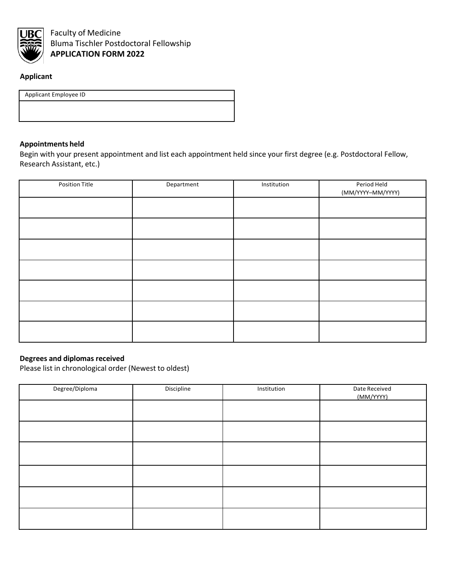

# **Applicant**

Applicant Employee ID

#### **Appointments held**

Begin with your present appointment and list each appointment held since your first degree (e.g. Postdoctoral Fellow, Research Assistant, etc.)

| <b>Position Title</b> | Department | Institution | Period Held<br>(MM/YYYY-MM/YYYY) |
|-----------------------|------------|-------------|----------------------------------|
|                       |            |             |                                  |
|                       |            |             |                                  |
|                       |            |             |                                  |
|                       |            |             |                                  |
|                       |            |             |                                  |
|                       |            |             |                                  |
|                       |            |             |                                  |

#### **Degrees and diplomas received**

Please list in chronological order (Newest to oldest)

| Degree/Diploma | Discipline | Institution | Date Received<br>(MM/YYYY) |
|----------------|------------|-------------|----------------------------|
|                |            |             |                            |
|                |            |             |                            |
|                |            |             |                            |
|                |            |             |                            |
|                |            |             |                            |
|                |            |             |                            |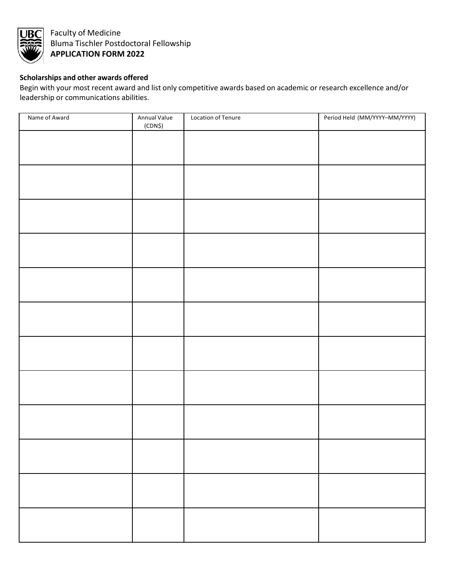

## **Scholarships and other awards offered**

Begin with your most recent award and list only competitive awards based on academic or research excellence and/or leadership or communications abilities.

| Name of Award | Annual Value<br>(CDN\$) | Location of Tenure | Period Held (MM/YYYY-MM/YYYY) |
|---------------|-------------------------|--------------------|-------------------------------|
|               |                         |                    |                               |
|               |                         |                    |                               |
|               |                         |                    |                               |
|               |                         |                    |                               |
|               |                         |                    |                               |
|               |                         |                    |                               |
|               |                         |                    |                               |
|               |                         |                    |                               |
|               |                         |                    |                               |
|               |                         |                    |                               |
|               |                         |                    |                               |
|               |                         |                    |                               |
|               |                         |                    |                               |
|               |                         |                    |                               |
|               |                         |                    |                               |
|               |                         |                    |                               |
|               |                         |                    |                               |
|               |                         |                    |                               |
|               |                         |                    |                               |
|               |                         |                    |                               |
|               |                         |                    |                               |
|               |                         |                    |                               |
|               |                         |                    |                               |
|               |                         |                    |                               |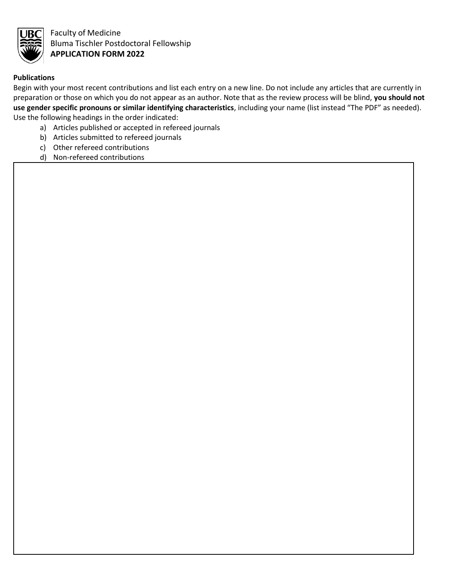

### **Publications**

Begin with your most recent contributions and list each entry on a new line. Do not include any articles that are currently in preparation or those on which you do not appear as an author. Note that as the review process will be blind, **you should not use gender specific pronouns or similar identifying characteristics**, including your name (list instead "The PDF" as needed). Use the following headings in the order indicated:

- a) Articles published or accepted in refereed journals
- b) Articles submitted to refereed journals
- c) Other refereed contributions
- d) Non-refereed contributions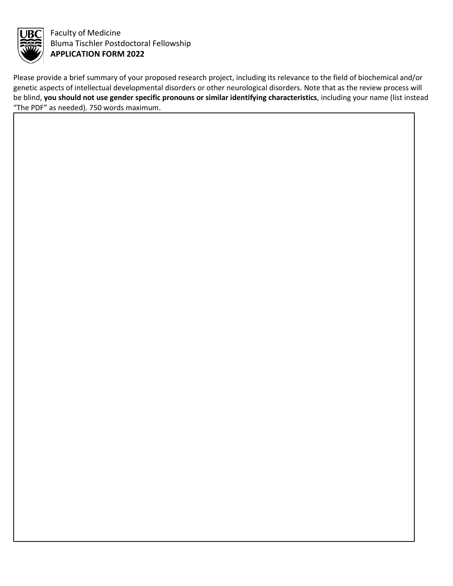

Please provide a brief summary of your proposed research project, including its relevance to the field of biochemical and/or genetic aspects of intellectual developmental disorders or other neurological disorders. Note that as the review process will be blind, **you should not use gender specific pronouns or similar identifying characteristics**, including your name (list instead "The PDF" as needed). 750 words maximum.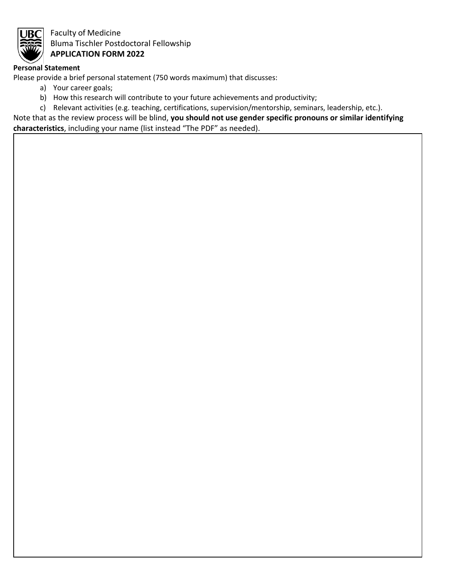

#### **Personal Statement**

Please provide a brief personal statement (750 words maximum) that discusses:

- a) Your career goals;
- b) How this research will contribute to your future achievements and productivity;

c) Relevant activities (e.g. teaching, certifications, supervision/mentorship, seminars, leadership, etc.).

Note that as the review process will be blind, **you should not use gender specific pronouns or similar identifying** 

**characteristics**, including your name (list instead "The PDF" as needed).